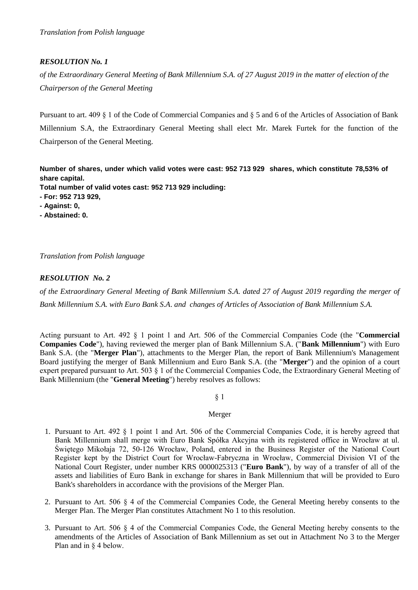# *RESOLUTION No. 1*

*of the Extraordinary General Meeting of Bank Millennium S.A. of 27 August 2019 in the matter of election of the Chairperson of the General Meeting*

Pursuant to art. 409 § 1 of the Code of Commercial Companies and § 5 and 6 of the Articles of Association of Bank Millennium S.A, the Extraordinary General Meeting shall elect Mr. Marek Furtek for the function of the Chairperson of the General Meeting.

**Number of shares, under which valid votes were cast: 952 713 929 shares, which constitute 78,53% of share capital.**

**Total number of valid votes cast: 952 713 929 including:**

- **- For: 952 713 929,**
- **- Against: 0,**
- **- Abstained: 0.**

*Translation from Polish language*

# *RESOLUTION No. 2*

*of the Extraordinary General Meeting of Bank Millennium S.A. dated 27 of August 2019 regarding the merger of Bank Millennium S.A. with Euro Bank S.A*. *and changes of Articles of Association of Bank Millennium S.A.*

Acting pursuant to Art. 492 § 1 point 1 and Art. 506 of the Commercial Companies Code (the "**Commercial Companies Code**"), having reviewed the merger plan of Bank Millennium S.A. ("**Bank Millennium**") with Euro Bank S.A. (the "**Merger Plan**"), attachments to the Merger Plan, the report of Bank Millennium's Management Board justifying the merger of Bank Millennium and Euro Bank S.A. (the "**Merger**") and the opinion of a court expert prepared pursuant to Art. 503 § 1 of the Commercial Companies Code, the Extraordinary General Meeting of Bank Millennium (the "**General Meeting**") hereby resolves as follows:

§ 1

#### Merger

- 1. Pursuant to Art. 492 § 1 point 1 and Art. 506 of the Commercial Companies Code, it is hereby agreed that Bank Millennium shall merge with Euro Bank Spółka Akcyjna with its registered office in Wrocław at ul. Świętego Mikołaja 72, 50-126 Wrocław, Poland, entered in the Business Register of the National Court Register kept by the District Court for Wrocław-Fabryczna in Wrocław, Commercial Division VI of the National Court Register, under number KRS 0000025313 ("**Euro Bank**"), by way of a transfer of all of the assets and liabilities of Euro Bank in exchange for shares in Bank Millennium that will be provided to Euro Bank's shareholders in accordance with the provisions of the Merger Plan.
- 2. Pursuant to Art. 506 § 4 of the Commercial Companies Code, the General Meeting hereby consents to the Merger Plan. The Merger Plan constitutes Attachment No 1 to this resolution.
- 3. Pursuant to Art. 506 § 4 of the Commercial Companies Code, the General Meeting hereby consents to the amendments of the Articles of Association of Bank Millennium as set out in Attachment No 3 to the Merger Plan and in § 4 below.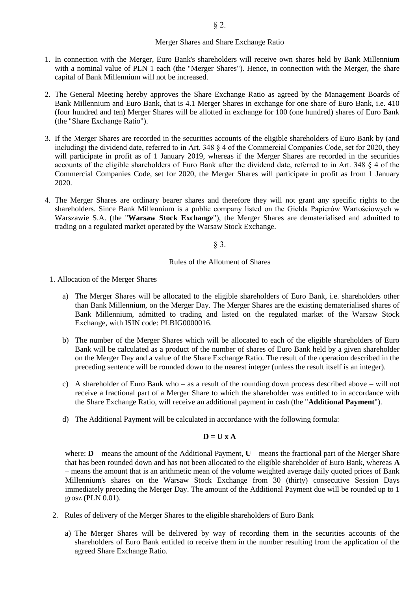#### Merger Shares and Share Exchange Ratio

- 1. In connection with the Merger, Euro Bank's shareholders will receive own shares held by Bank Millennium with a nominal value of PLN 1 each (the "Merger Shares"). Hence, in connection with the Merger, the share capital of Bank Millennium will not be increased.
- 2. The General Meeting hereby approves the Share Exchange Ratio as agreed by the Management Boards of Bank Millennium and Euro Bank, that is 4.1 Merger Shares in exchange for one share of Euro Bank, i.e. 410 (four hundred and ten) Merger Shares will be allotted in exchange for 100 (one hundred) shares of Euro Bank (the "Share Exchange Ratio").
- 3. If the Merger Shares are recorded in the securities accounts of the eligible shareholders of Euro Bank by (and including) the dividend date, referred to in Art. 348 § 4 of the Commercial Companies Code, set for 2020, they will participate in profit as of 1 January 2019, whereas if the Merger Shares are recorded in the securities accounts of the eligible shareholders of Euro Bank after the dividend date, referred to in Art. 348 § 4 of the Commercial Companies Code, set for 2020, the Merger Shares will participate in profit as from 1 January 2020.
- 4. The Merger Shares are ordinary bearer shares and therefore they will not grant any specific rights to the shareholders. Since Bank Millennium is a public company listed on the Giełda Papierów Wartościowych w Warszawie S.A. (the "**Warsaw Stock Exchange**"), the Merger Shares are dematerialised and admitted to trading on a regulated market operated by the Warsaw Stock Exchange.

§ 3.

#### Rules of the Allotment of Shares

- 1. Allocation of the Merger Shares
	- a) The Merger Shares will be allocated to the eligible shareholders of Euro Bank, i.e. shareholders other than Bank Millennium, on the Merger Day. The Merger Shares are the existing dematerialised shares of Bank Millennium, admitted to trading and listed on the regulated market of the Warsaw Stock Exchange, with ISIN code: PLBIG0000016.
	- b) The number of the Merger Shares which will be allocated to each of the eligible shareholders of Euro Bank will be calculated as a product of the number of shares of Euro Bank held by a given shareholder on the Merger Day and a value of the Share Exchange Ratio. The result of the operation described in the preceding sentence will be rounded down to the nearest integer (unless the result itself is an integer).
	- c) A shareholder of Euro Bank who as a result of the rounding down process described above will not receive a fractional part of a Merger Share to which the shareholder was entitled to in accordance with the Share Exchange Ratio, will receive an additional payment in cash (the "**Additional Payment**").
	- d) The Additional Payment will be calculated in accordance with the following formula:

#### $D = U \times A$

where: **D** – means the amount of the Additional Payment, **U** – means the fractional part of the Merger Share that has been rounded down and has not been allocated to the eligible shareholder of Euro Bank, whereas **A** – means the amount that is an arithmetic mean of the volume weighted average daily quoted prices of Bank Millennium's shares on the Warsaw Stock Exchange from 30 (thirty) consecutive Session Days immediately preceding the Merger Day. The amount of the Additional Payment due will be rounded up to 1 grosz (PLN 0.01).

- 2. Rules of delivery of the Merger Shares to the eligible shareholders of Euro Bank
	- a) The Merger Shares will be delivered by way of recording them in the securities accounts of the shareholders of Euro Bank entitled to receive them in the number resulting from the application of the agreed Share Exchange Ratio.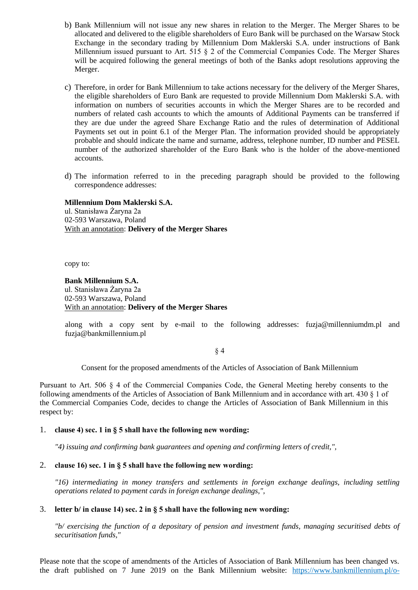- b) Bank Millennium will not issue any new shares in relation to the Merger. The Merger Shares to be allocated and delivered to the eligible shareholders of Euro Bank will be purchased on the Warsaw Stock Exchange in the secondary trading by Millennium Dom Maklerski S.A. under instructions of Bank Millennium issued pursuant to Art. 515 § 2 of the Commercial Companies Code. The Merger Shares will be acquired following the general meetings of both of the Banks adopt resolutions approving the Merger.
- c) Therefore, in order for Bank Millennium to take actions necessary for the delivery of the Merger Shares, the eligible shareholders of Euro Bank are requested to provide Millennium Dom Maklerski S.A. with information on numbers of securities accounts in which the Merger Shares are to be recorded and numbers of related cash accounts to which the amounts of Additional Payments can be transferred if they are due under the agreed Share Exchange Ratio and the rules of determination of Additional Payments set out in point 6.1 of the Merger Plan. The information provided should be appropriately probable and should indicate the name and surname, address, telephone number, ID number and PESEL number of the authorized shareholder of the Euro Bank who is the holder of the above-mentioned accounts.
- d) The information referred to in the preceding paragraph should be provided to the following correspondence addresses:

**Millennium Dom Maklerski S.A.** ul. Stanisława Żaryna 2a 02-593 Warszawa, Poland With an annotation: **Delivery of the Merger Shares**

copy to:

## **Bank Millennium S.A.** ul. Stanisława Żaryna 2a 02-593 Warszawa, Poland With an annotation: **Delivery of the Merger Shares**

along with a copy sent by e-mail to the following addresses: fuzja@millenniumdm.pl and fuzja@bankmillennium.pl

§ 4

Consent for the proposed amendments of the Articles of Association of Bank Millennium

Pursuant to Art. 506 § 4 of the Commercial Companies Code, the General Meeting hereby consents to the following amendments of the Articles of Association of Bank Millennium and in accordance with art. 430 § 1 of the Commercial Companies Code, decides to change the Articles of Association of Bank Millennium in this respect by:

## 1. **clause 4) sec. 1 in § 5 shall have the following new wording:**

*"4) issuing and confirming bank guarantees and opening and confirming letters of credit,",*

## 2. **clause 16) sec. 1 in § 5 shall have the following new wording:**

*"16) intermediating in money transfers and settlements in foreign exchange dealings, including settling operations related to payment cards in foreign exchange dealings,",*

### 3. **letter b/ in clause 14) sec. 2 in § 5 shall have the following new wording:**

*"b/ exercising the function of a depositary of pension and investment funds, managing securitised debts of securitisation funds,"*

Please note that the scope of amendments of the Articles of Association of Bank Millennium has been changed vs. the draft published on 7 June 2019 on the Bank Millennium website: [https://www.bankmillennium.pl/o-](https://www.bankmillennium.pl/o-banku/relacje-inwestorskie/raporty-biezace/-/r/26915979)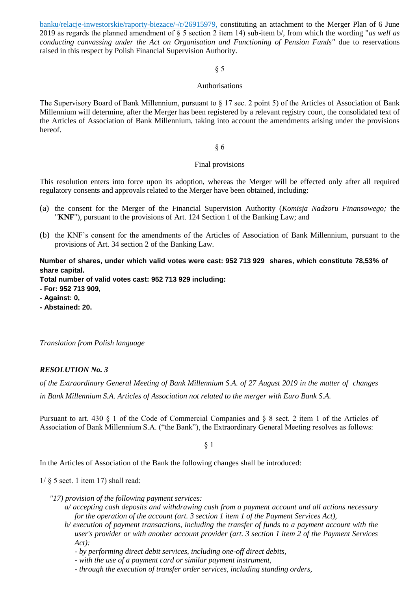[banku/relacje-inwestorskie/raporty-biezace/-/r/26915979,](https://www.bankmillennium.pl/o-banku/relacje-inwestorskie/raporty-biezace/-/r/26915979) constituting an attachment to the Merger Plan of 6 June 2019 as regards the planned amendment of § 5 section 2 item 14) sub-item b/, from which the wording "*as well as conducting canvassing under the Act on Organisation and Functioning of Pension Funds"* due to reservations raised in this respect by Polish Financial Supervision Authority.

## § 5

### Authorisations

The Supervisory Board of Bank Millennium, pursuant to § 17 sec. 2 point 5) of the Articles of Association of Bank Millennium will determine, after the Merger has been registered by a relevant registry court, the consolidated text of the Articles of Association of Bank Millennium, taking into account the amendments arising under the provisions hereof.

### § 6

### Final provisions

This resolution enters into force upon its adoption, whereas the Merger will be effected only after all required regulatory consents and approvals related to the Merger have been obtained, including:

- (a) the consent for the Merger of the Financial Supervision Authority (*Komisja Nadzoru Finansowego;* the "**KNF**"), pursuant to the provisions of Art. 124 Section 1 of the Banking Law; and
- (b) the KNF's consent for the amendments of the Articles of Association of Bank Millennium, pursuant to the provisions of Art. 34 section 2 of the Banking Law.

**Number of shares, under which valid votes were cast: 952 713 929 shares, which constitute 78,53% of share capital.**

**Total number of valid votes cast: 952 713 929 including:**

- **- For: 952 713 909,**
- **- Against: 0,**
- **- Abstained: 20.**

*Translation from Polish language*

## *RESOLUTION No. 3*

*of the Extraordinary General Meeting of Bank Millennium S.A. of 27 August 2019 in the matter of changes in Bank Millennium S.A. Articles of Association not related to the merger with Euro Bank S.A.*

Pursuant to art. 430 § 1 of the Code of Commercial Companies and § 8 sect. 2 item 1 of the Articles of Association of Bank Millennium S.A. ("the Bank"), the Extraordinary General Meeting resolves as follows:

#### § 1

In the Articles of Association of the Bank the following changes shall be introduced:

 $1/\S$  5 sect. 1 item 17) shall read:

- *"17) provision of the following payment services:*
	- *a/ accepting cash deposits and withdrawing cash from a payment account and all actions necessary for the operation of the account (art. 3 section 1 item 1 of the Payment Services Act),*
	- *b/ execution of payment transactions, including the transfer of funds to a payment account with the user's provider or with another account provider (art. 3 section 1 item 2 of the Payment Services Act):*

*- by performing direct debit services, including one-off direct debits,*

- *- with the use of a payment card or similar payment instrument,*
- *- through the execution of transfer order services, including standing orders,*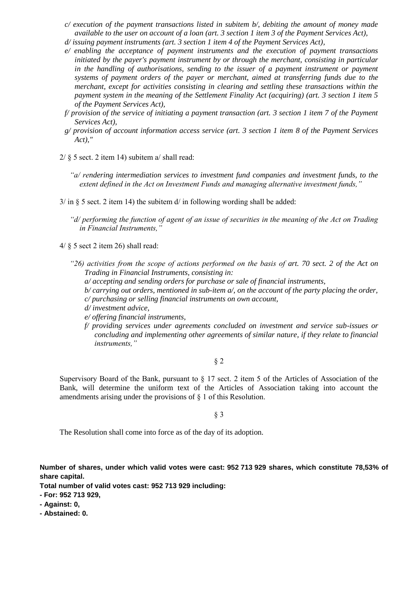- *c/ execution of the payment transactions listed in subitem b/, debiting the amount of money made available to the user on account of a loan (art. 3 section 1 item 3 of the Payment Services Act),*
- *d/ issuing payment instruments (art. 3 section 1 item 4 of the Payment Services Act),*
- *e/ enabling the acceptance of payment instruments and the execution of payment transactions initiated by the payer's payment instrument by or through the merchant, consisting in particular in the handling of authorisations, sending to the issuer of a payment instrument or payment systems of payment orders of the payer or merchant, aimed at transferring funds due to the merchant, except for activities consisting in clearing and settling these transactions within the payment system in the meaning of the Settlement Finality Act (acquiring) (art. 3 section 1 item 5 of the Payment Services Act),*
- *f/ provision of the service of initiating a payment transaction (art. 3 section 1 item 7 of the Payment Services Act),*
- *g/ provision of account information access service (art. 3 section 1 item 8 of the Payment Services Act),"*
- $2/\xi$  5 sect. 2 item 14) subitem a/ shall read:
	- *"a/ rendering intermediation services to investment fund companies and investment funds, to the extent defined in the Act on Investment Funds and managing alternative investment funds,"*
- $3/\text{ in } \S$  5 sect. 2 item 14) the subitem d/ in following wording shall be added:
	- *"d/ performing the function of agent of an issue of securities in the meaning of the Act on Trading in Financial Instruments,"*
- 4/ § 5 sect 2 item 26) shall read:
	- *"26) activities from the scope of actions performed on the basis of art. 70 sect. 2 of the Act on Trading in Financial Instruments, consisting in:*
		- *a/ accepting and sending orders for purchase or sale of financial instruments,*
		- *b/ carrying out orders, mentioned in sub-item a/, on the account of the party placing the order, c/ purchasing or selling financial instruments on own account,*
		- *d/ investment advice,*
		- *e/ offering financial instruments,*
		- *f/ providing services under agreements concluded on investment and service sub-issues or concluding and implementing other agreements of similar nature, if they relate to financial instruments,"*

§ 2

Supervisory Board of the Bank, pursuant to  $\S 17$  sect. 2 item 5 of the Articles of Association of the Bank, will determine the uniform text of the Articles of Association taking into account the amendments arising under the provisions of § 1 of this Resolution.

§ 3

The Resolution shall come into force as of the day of its adoption.

**Number of shares, under which valid votes were cast: 952 713 929 shares, which constitute 78,53% of share capital.**

**Total number of valid votes cast: 952 713 929 including:**

- **- For: 952 713 929,**
- **- Against: 0,**
- **- Abstained: 0.**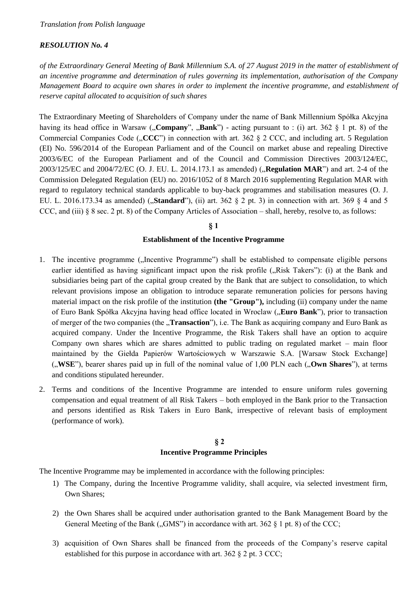## *RESOLUTION No. 4*

*of the Extraordinary General Meeting of Bank Millennium S.A. of 27 August 2019 in the matter of establishment of an incentive programme and determination of rules governing its implementation, authorisation of the Company Management Board to acquire own shares in order to implement the incentive programme, and establishment of reserve capital allocated to acquisition of such shares*

The Extraordinary Meeting of Shareholders of Company under the name of Bank Millennium Spółka Akcyjna having its head office in Warsaw ("**Company**", "**Bank**") - acting pursuant to : (i) art. 362 § 1 pt. 8) of the Commercial Companies Code  $(\text{CCCC''})$  in connection with art. 362 § 2 CCC, and including art. 5 Regulation (EI) No. 596/2014 of the European Parliament and of the Council on market abuse and repealing Directive 2003/6/EC of the European Parliament and of the Council and Commission Directives 2003/124/EC, 2003/125/EC and 2004/72/EC (O. J. EU. L. 2014.173.1 as amended) ("**Regulation MAR**") and art. 2-4 of the Commission Delegated Regulation (EU) no. 2016/1052 of 8 March 2016 supplementing Regulation MAR with regard to regulatory technical standards applicable to buy-back programmes and stabilisation measures (O. J. EU. L. 2016.173.34 as amended) ("**Standard**"), (ii) art. 362 § 2 pt. 3) in connection with art. 369 § 4 and 5 CCC, and (iii) § 8 sec. 2 pt. 8) of the Company Articles of Association – shall, hereby, resolve to, as follows:

## **§ 1**

### **Establishment of the Incentive Programme**

- 1. The incentive programme ("Incentive Programme") shall be established to compensate eligible persons earlier identified as having significant impact upon the risk profile ("Risk Takers"): (i) at the Bank and subsidiaries being part of the capital group created by the Bank that are subject to consolidation, to which relevant provisions impose an obligation to introduce separate remuneration policies for persons having material impact on the risk profile of the institution **(the "Group"),** including (ii) company under the name of Euro Bank Spółka Akcyjna having head office located in Wroclaw ("**Euro Bank**"), prior to transaction of merger of the two companies (the "**Transaction**"), i.e. The Bank as acquiring company and Euro Bank as acquired company. Under the Incentive Programme, the Risk Takers shall have an option to acquire Company own shares which are shares admitted to public trading on regulated market – main floor maintained by the Giełda Papierów Wartościowych w Warszawie S.A. [Warsaw Stock Exchange] ("**WSE**"), bearer shares paid up in full of the nominal value of 1,00 PLN each ("**Own Shares**"), at terms and conditions stipulated hereunder.
- 2. Terms and conditions of the Incentive Programme are intended to ensure uniform rules governing compensation and equal treatment of all Risk Takers – both employed in the Bank prior to the Transaction and persons identified as Risk Takers in Euro Bank, irrespective of relevant basis of employment (performance of work).

# **§ 2 Incentive Programme Principles**

The Incentive Programme may be implemented in accordance with the following principles:

- 1) The Company, during the Incentive Programme validity, shall acquire, via selected investment firm, Own Shares;
- 2) the Own Shares shall be acquired under authorisation granted to the Bank Management Board by the General Meeting of the Bank ("GMS") in accordance with art. 362  $\S$  1 pt. 8) of the CCC;
- 3) acquisition of Own Shares shall be financed from the proceeds of the Company's reserve capital established for this purpose in accordance with art. 362 § 2 pt. 3 CCC;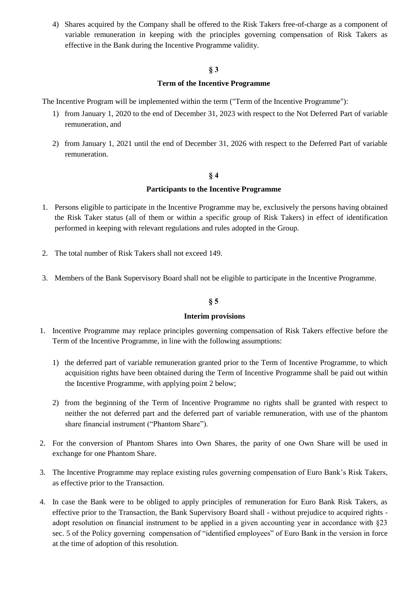4) Shares acquired by the Company shall be offered to the Risk Takers free-of-charge as a component of variable remuneration in keeping with the principles governing compensation of Risk Takers as effective in the Bank during the Incentive Programme validity.

# **§ 3**

# **Term of the Incentive Programme**

The Incentive Program will be implemented within the term ("Term of the Incentive Programme"):

- 1) from January 1, 2020 to the end of December 31, 2023 with respect to the Not Deferred Part of variable remuneration, and
- 2) from January 1, 2021 until the end of December 31, 2026 with respect to the Deferred Part of variable remuneration.

# **§ 4**

## **Participants to the Incentive Programme**

- 1. Persons eligible to participate in the Incentive Programme may be, exclusively the persons having obtained the Risk Taker status (all of them or within a specific group of Risk Takers) in effect of identification performed in keeping with relevant regulations and rules adopted in the Group.
- 2. The total number of Risk Takers shall not exceed 149.
- 3. Members of the Bank Supervisory Board shall not be eligible to participate in the Incentive Programme.

# **§ 5**

## **Interim provisions**

- 1. Incentive Programme may replace principles governing compensation of Risk Takers effective before the Term of the Incentive Programme, in line with the following assumptions:
	- 1) the deferred part of variable remuneration granted prior to the Term of Incentive Programme, to which acquisition rights have been obtained during the Term of Incentive Programme shall be paid out within the Incentive Programme, with applying point 2 below;
	- 2) from the beginning of the Term of Incentive Programme no rights shall be granted with respect to neither the not deferred part and the deferred part of variable remuneration, with use of the phantom share financial instrument ("Phantom Share").
- 2. For the conversion of Phantom Shares into Own Shares, the parity of one Own Share will be used in exchange for one Phantom Share.
- 3. The Incentive Programme may replace existing rules governing compensation of Euro Bank's Risk Takers, as effective prior to the Transaction.
- 4. In case the Bank were to be obliged to apply principles of remuneration for Euro Bank Risk Takers, as effective prior to the Transaction, the Bank Supervisory Board shall - without prejudice to acquired rights adopt resolution on financial instrument to be applied in a given accounting year in accordance with §23 sec. 5 of the Policy governing compensation of "identified employees" of Euro Bank in the version in force at the time of adoption of this resolution.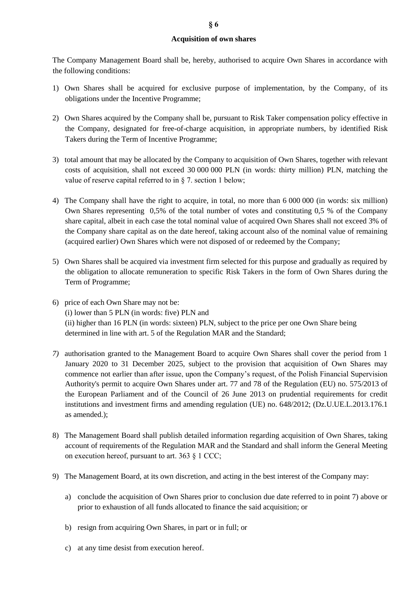## **Acquisition of own shares**

The Company Management Board shall be, hereby, authorised to acquire Own Shares in accordance with the following conditions:

- 1) Own Shares shall be acquired for exclusive purpose of implementation, by the Company, of its obligations under the Incentive Programme;
- 2) Own Shares acquired by the Company shall be, pursuant to Risk Taker compensation policy effective in the Company, designated for free-of-charge acquisition, in appropriate numbers, by identified Risk Takers during the Term of Incentive Programme;
- 3) total amount that may be allocated by the Company to acquisition of Own Shares, together with relevant costs of acquisition, shall not exceed 30 000 000 PLN (in words: thirty million) PLN, matching the value of reserve capital referred to in § 7. section 1 below;
- 4) The Company shall have the right to acquire, in total, no more than 6 000 000 (in words: six million) Own Shares representing 0,5% of the total number of votes and constituting 0,5 % of the Company share capital, albeit in each case the total nominal value of acquired Own Shares shall not exceed 3% of the Company share capital as on the date hereof, taking account also of the nominal value of remaining (acquired earlier) Own Shares which were not disposed of or redeemed by the Company;
- 5) Own Shares shall be acquired via investment firm selected for this purpose and gradually as required by the obligation to allocate remuneration to specific Risk Takers in the form of Own Shares during the Term of Programme;
- 6) price of each Own Share may not be: (i) lower than 5 PLN (in words: five) PLN and (ii) higher than 16 PLN (in words: sixteen) PLN, subject to the price per one Own Share being determined in line with art. 5 of the Regulation MAR and the Standard;
- *7)* authorisation granted to the Management Board to acquire Own Shares shall cover the period from 1 January 2020 to 31 December 2025, subject to the provision that acquisition of Own Shares may commence not earlier than after issue, upon the Company's request, of the Polish Financial Supervision Authority's permit to acquire Own Shares under [art. 77](https://sip.lex.pl/#/document/68336066?unitId=art(77)&cm=DOCUMENT) and [78](https://sip.lex.pl/#/document/68336066?unitId=art(78)&cm=DOCUMENT) of the Regulation (EU) no. 575/2013 of the European Parliament and of the Council of 26 June 2013 on prudential requirements for credit institutions and investment firms and amending regulation (UE) no. 648/2012; (Dz.U.UE.L.2013.176.1 as amended.);
- 8) The Management Board shall publish detailed information regarding acquisition of Own Shares, taking account of requirements of the Regulation MAR and the Standard and shall inform the General Meeting on execution hereof, pursuant to art. 363 § 1 CCC;
- 9) The Management Board, at its own discretion, and acting in the best interest of the Company may:
	- a) conclude the acquisition of Own Shares prior to conclusion due date referred to in point 7) above or prior to exhaustion of all funds allocated to finance the said acquisition; or
	- b) resign from acquiring Own Shares, in part or in full; or
	- c) at any time desist from execution hereof.